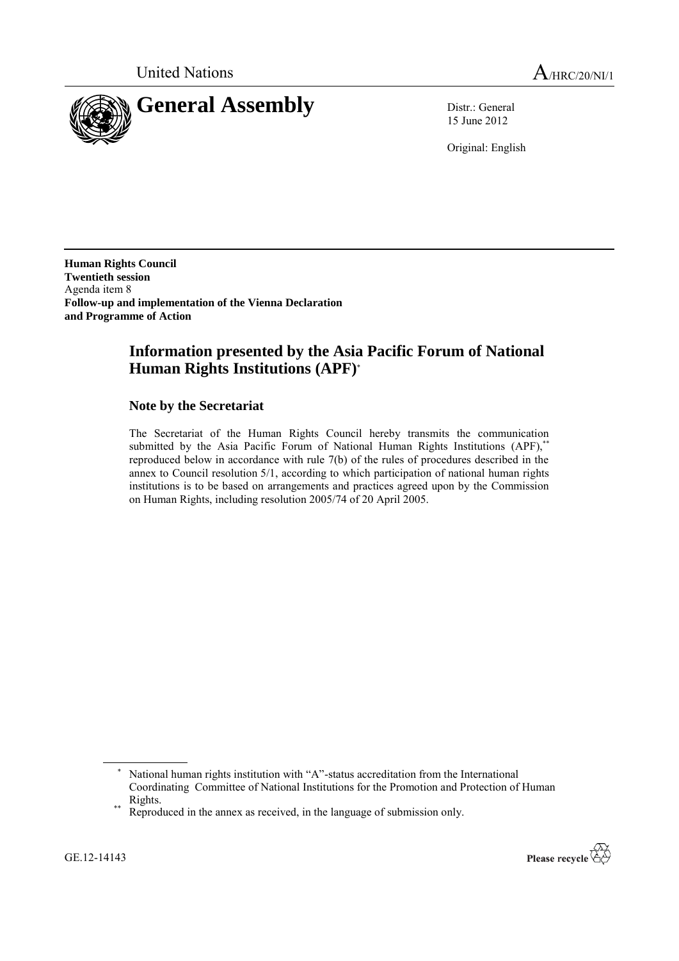

15 June 2012

Original: English

**Human Rights Council Twentieth session** Agenda item 8 **Follow-up and implementation of the Vienna Declaration and Programme of Action** 

# **Information presented by the Asia Pacific Forum of National Human Rights Institutions (APF)**

### **Note by the Secretariat**

The Secretariat of the Human Rights Council hereby transmits the communication submitted by the Asia Pacific Forum of National Human Rights Institutions (APF),\*\* reproduced below in accordance with rule 7(b) of the rules of procedures described in the annex to Council resolution 5/1, according to which participation of national human rights institutions is to be based on arrangements and practices agreed upon by the Commission on Human Rights, including resolution 2005/74 of 20 April 2005.



National human rights institution with "A"-status accreditation from the International Coordinating Committee of National Institutions for the Promotion and Protection of Human Rights.

<sup>\*\*</sup> Reproduced in the annex as received, in the language of submission only.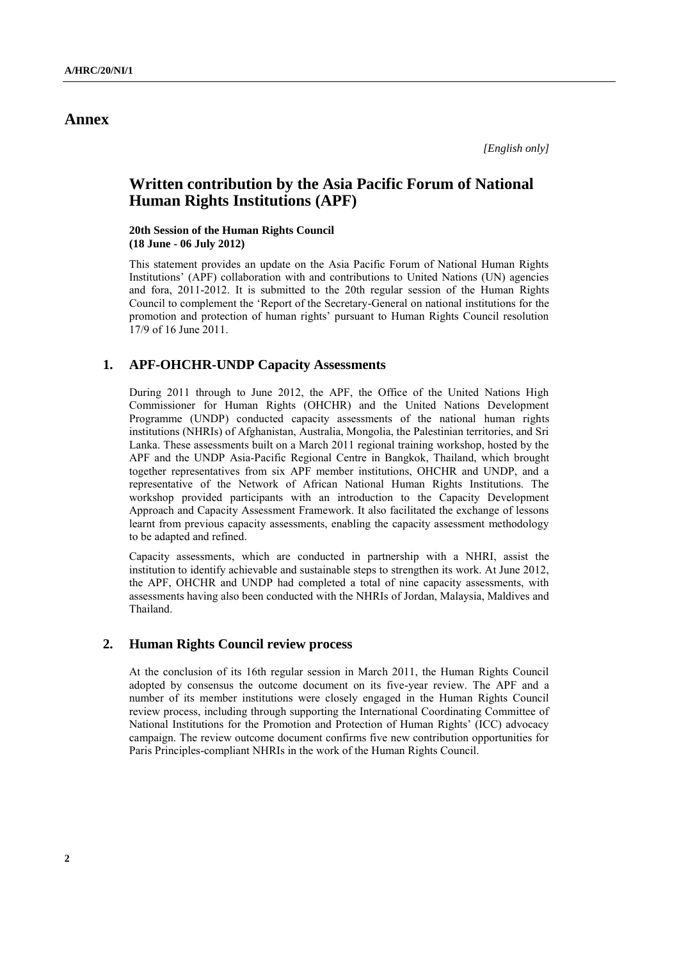## **Annex**

# **Written contribution by the Asia Pacific Forum of National Human Rights Institutions (APF)**

**20th Session of the Human Rights Council (18 June - 06 July 2012)**

This statement provides an update on the Asia Pacific Forum of National Human Rights Institutions" (APF) collaboration with and contributions to United Nations (UN) agencies and fora, 2011-2012. It is submitted to the 20th regular session of the Human Rights Council to complement the "Report of the Secretary-General on national institutions for the promotion and protection of human rights" pursuant to Human Rights Council resolution 17/9 of 16 June 2011.

#### **1. APF-OHCHR-UNDP Capacity Assessments**

During 2011 through to June 2012, the APF, the Office of the United Nations High Commissioner for Human Rights (OHCHR) and the United Nations Development Programme (UNDP) conducted capacity assessments of the national human rights institutions (NHRIs) of Afghanistan, Australia, Mongolia, the Palestinian territories, and Sri Lanka. These assessments built on a March 2011 regional training workshop, hosted by the APF and the UNDP Asia-Pacific Regional Centre in Bangkok, Thailand, which brought together representatives from six APF member institutions, OHCHR and UNDP, and a representative of the Network of African National Human Rights Institutions. The workshop provided participants with an introduction to the Capacity Development Approach and Capacity Assessment Framework. It also facilitated the exchange of lessons learnt from previous capacity assessments, enabling the capacity assessment methodology to be adapted and refined.

Capacity assessments, which are conducted in partnership with a NHRI, assist the institution to identify achievable and sustainable steps to strengthen its work. At June 2012, the APF, OHCHR and UNDP had completed a total of nine capacity assessments, with assessments having also been conducted with the NHRIs of Jordan, Malaysia, Maldives and Thailand.

#### **2. Human Rights Council review process**

At the conclusion of its 16th regular session in March 2011, the Human Rights Council adopted by consensus the outcome document on its five-year review. The APF and a number of its member institutions were closely engaged in the Human Rights Council review process, including through supporting the International Coordinating Committee of National Institutions for the Promotion and Protection of Human Rights" (ICC) advocacy campaign. The review outcome document confirms five new contribution opportunities for Paris Principles-compliant NHRIs in the work of the Human Rights Council.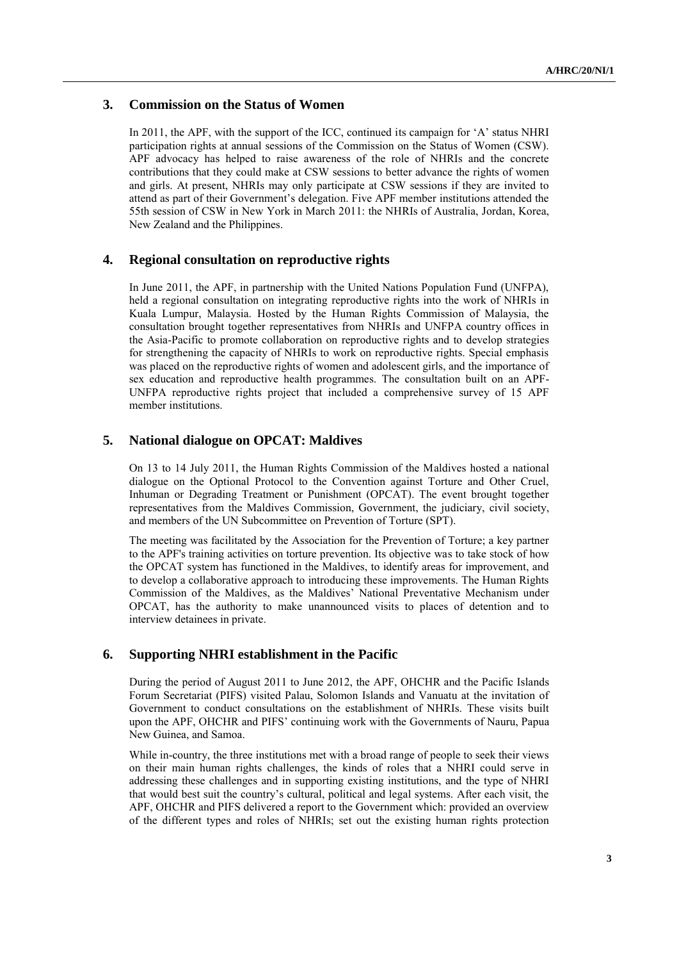#### **3. Commission on the Status of Women**

In 2011, the APF, with the support of the ICC, continued its campaign for 'A' status NHRI participation rights at annual sessions of the Commission on the Status of Women (CSW). APF advocacy has helped to raise awareness of the role of NHRIs and the concrete contributions that they could make at CSW sessions to better advance the rights of women and girls. At present, NHRIs may only participate at CSW sessions if they are invited to attend as part of their Government"s delegation. Five APF member institutions attended the 55th session of CSW in New York in March 2011: the NHRIs of Australia, Jordan, Korea, New Zealand and the Philippines.

### **4. Regional consultation on reproductive rights**

In June 2011, the APF, in partnership with the United Nations Population Fund (UNFPA), held a regional consultation on integrating reproductive rights into the work of NHRIs in Kuala Lumpur, Malaysia. Hosted by the Human Rights Commission of Malaysia, the consultation brought together representatives from NHRIs and UNFPA country offices in the Asia-Pacific to promote collaboration on reproductive rights and to develop strategies for strengthening the capacity of NHRIs to work on reproductive rights. Special emphasis was placed on the reproductive rights of women and adolescent girls, and the importance of sex education and reproductive health programmes. The consultation built on an APF-UNFPA reproductive rights project that included a comprehensive survey of 15 APF member institutions.

#### **5. National dialogue on OPCAT: Maldives**

On 13 to 14 July 2011, the Human Rights Commission of the Maldives hosted a national dialogue on the Optional Protocol to the Convention against Torture and Other Cruel, Inhuman or Degrading Treatment or Punishment (OPCAT). The event brought together representatives from the Maldives Commission, Government, the judiciary, civil society, and members of the UN Subcommittee on Prevention of Torture (SPT).

The meeting was facilitated by the Association for the Prevention of Torture; a key partner to the APF's training activities on torture prevention. Its objective was to take stock of how the OPCAT system has functioned in the Maldives, to identify areas for improvement, and to develop a collaborative approach to introducing these improvements. The Human Rights Commission of the Maldives, as the Maldives" National Preventative Mechanism under OPCAT, has the authority to make unannounced visits to places of detention and to interview detainees in private.

#### **6. Supporting NHRI establishment in the Pacific**

During the period of August 2011 to June 2012, the APF, OHCHR and the Pacific Islands Forum Secretariat (PIFS) visited Palau, Solomon Islands and Vanuatu at the invitation of Government to conduct consultations on the establishment of NHRIs. These visits built upon the APF, OHCHR and PIFS" continuing work with the Governments of Nauru, Papua New Guinea, and Samoa.

While in-country, the three institutions met with a broad range of people to seek their views on their main human rights challenges, the kinds of roles that a NHRI could serve in addressing these challenges and in supporting existing institutions, and the type of NHRI that would best suit the country"s cultural, political and legal systems. After each visit, the APF, OHCHR and PIFS delivered a report to the Government which: provided an overview of the different types and roles of NHRIs; set out the existing human rights protection